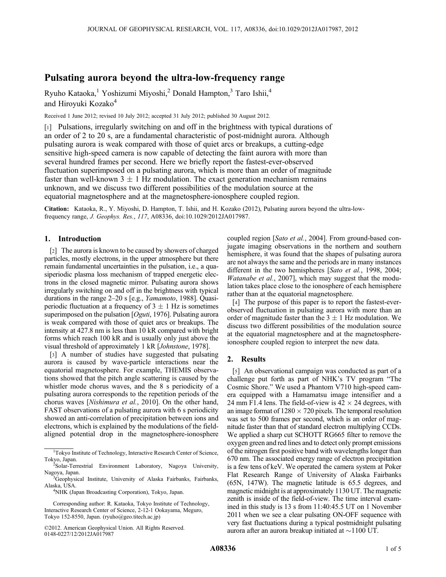# Pulsating aurora beyond the ultra-low-frequency range

Ryuho Kataoka,<sup>1</sup> Yoshizumi Miyoshi,<sup>2</sup> Donald Hampton,<sup>3</sup> Taro Ishii,<sup>4</sup> and Hiroyuki Kozako<sup>4</sup>

Received 1 June 2012; revised 10 July 2012; accepted 31 July 2012; published 30 August 2012.

[1] Pulsations, irregularly switching on and off in the brightness with typical durations of an order of 2 to 20 s, are a fundamental characteristic of post-midnight aurora. Although pulsating aurora is weak compared with those of quiet arcs or breakups, a cutting-edge sensitive high-speed camera is now capable of detecting the faint aurora with more than several hundred frames per second. Here we briefly report the fastest-ever-observed fluctuation superimposed on a pulsating aurora, which is more than an order of magnitude faster than well-known  $3 \pm 1$  Hz modulation. The exact generation mechanism remains unknown, and we discuss two different possibilities of the modulation source at the equatorial magnetosphere and at the magnetosphere-ionosphere coupled region.

Citation: Kataoka, R., Y. Miyoshi, D. Hampton, T. Ishii, and H. Kozako (2012), Pulsating aurora beyond the ultra-lowfrequency range, J. Geophys. Res., 117, A08336, doi:10.1029/2012JA017987.

## 1. Introduction

[2] The aurora is known to be caused by showers of charged particles, mostly electrons, in the upper atmosphere but there remain fundamental uncertainties in the pulsation, i.e., a quasiperiodic plasma loss mechanism of trapped energetic electrons in the closed magnetic mirror. Pulsating aurora shows irregularly switching on and off in the brightness with typical durations in the range 2–20 s [e.g., Yamamoto, 1988]. Quasiperiodic fluctuation at a frequency of  $3 \pm 1$  Hz is sometimes superimposed on the pulsation [Oguti, 1976]. Pulsating aurora is weak compared with those of quiet arcs or breakups. The intensity at 427.8 nm is less than 10 kR compared with bright forms which reach 100 kR and is usually only just above the visual threshold of approximately 1 kR [Johnstone, 1978].

[3] A number of studies have suggested that pulsating aurora is caused by wave-particle interactions near the equatorial magnetosphere. For example, THEMIS observations showed that the pitch angle scattering is caused by the whistler mode chorus waves, and the 8 s periodicity of a pulsating aurora corresponds to the repetition periods of the chorus waves [Nishimura et al., 2010]. On the other hand, FAST observations of a pulsating aurora with 6 s periodicity showed an anti-correlation of precipitation between ions and electrons, which is explained by the modulations of the fieldaligned potential drop in the magnetosphere-ionosphere

coupled region [Sato et al., 2004]. From ground-based conjugate imaging observations in the northern and southern hemisphere, it was found that the shapes of pulsating aurora are not always the same and the periods are in many instances different in the two hemispheres [Sato et al., 1998, 2004; Watanabe et al., 2007], which may suggest that the modulation takes place close to the ionosphere of each hemisphere rather than at the equatorial magnetosphere.

[4] The purpose of this paper is to report the fastest-everobserved fluctuation in pulsating aurora with more than an order of magnitude faster than the  $3 \pm 1$  Hz modulation. We discuss two different possibilities of the modulation source at the equatorial magnetosphere and at the magnetosphereionosphere coupled region to interpret the new data.

#### 2. Results

[5] An observational campaign was conducted as part of a challenge put forth as part of NHK's TV program "The Cosmic Shore." We used a Phantom V710 high-speed camera equipped with a Hamamatsu image intensifier and a 24 mm F1.4 lens. The field-of-view is  $42 \times 24$  degrees, with an image format of  $1280 \times 720$  pixels. The temporal resolution was set to 500 frames per second, which is an order of magnitude faster than that of standard electron multiplying CCDs. We applied a sharp cut SCHOTT RG665 filter to remove the oxygen green and red lines and to detect only prompt emissions of the nitrogen first positive band with wavelengths longer than 670 nm. The associated energy range of electron precipitation is a few tens of keV. We operated the camera system at Poker Flat Research Range of University of Alaska Fairbanks (65N, 147W). The magnetic latitude is 65.5 degrees, and magnetic midnight is at approximately 1130 UT. The magnetic zenith is inside of the field-of-view. The time interval examined in this study is 13 s from 11:40:45.5 UT on 1 November 2011 when we see a clear pulsating ON-OFF sequence with very fast fluctuations during a typical postmidnight pulsating aurora after an aurora breakup initiated at  $\sim$ 1100 UT.

<sup>&</sup>lt;sup>1</sup>Tokyo Institute of Technology, Interactive Research Center of Science, Tokyo, Japan. <sup>2</sup>

Solar-Terrestrial Environment Laboratory, Nagoya University, Nagoya, Japan.

<sup>&</sup>lt;sup>3</sup>Geophysical Institute, University of Alaska Fairbanks, Fairbanks, Alaska, USA. <sup>4</sup>

<sup>&</sup>lt;sup>4</sup>NHK (Japan Broadcasting Corporation), Tokyo, Japan.

Corresponding author: R. Kataoka, Tokyo Institute of Technology, Interactive Research Center of Science, 2-12-1 Ookayama, Meguro, Tokyo 152-8550, Japan. (ryuho@geo.titech.ac.jp)

<sup>©2012.</sup> American Geophysical Union. All Rights Reserved. 0148-0227/12/2012JA017987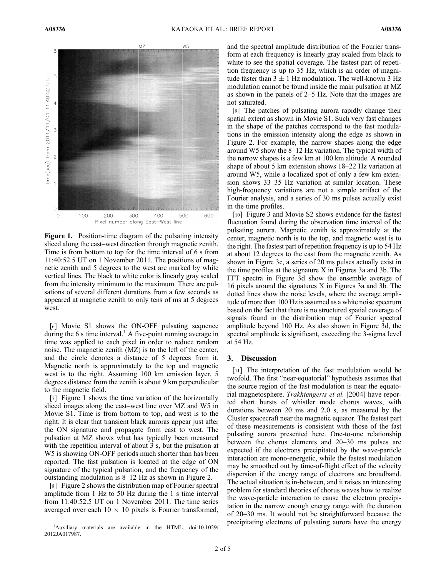

Figure 1. Position-time diagram of the pulsating intensity sliced along the east–west direction through magnetic zenith. Time is from bottom to top for the time interval of 6 s from 11:40:52.5 UT on 1 November 2011. The positions of magnetic zenith and 5 degrees to the west are marked by white vertical lines. The black to white color is linearly gray scaled from the intensity minimum to the maximum. There are pulsations of several different durations from a few seconds as appeared at magnetic zenith to only tens of ms at 5 degrees west.

[6] Movie S1 shows the ON-OFF pulsating sequence during the 6 s time interval.<sup>1</sup> A five-point running average in time was applied to each pixel in order to reduce random noise. The magnetic zenith (MZ) is to the left of the center, and the circle denotes a distance of 5 degrees from it. Magnetic north is approximately to the top and magnetic west is to the right. Assuming 100 km emission layer, 5 degrees distance from the zenith is about 9 km perpendicular to the magnetic field.

[7] Figure 1 shows the time variation of the horizontally sliced images along the east–west line over MZ and W5 in Movie S1. Time is from bottom to top, and west is to the right. It is clear that transient black auroras appear just after the ON signature and propagate from east to west. The pulsation at MZ shows what has typically been measured with the repetition interval of about 3 s, but the pulsation at W5 is showing ON-OFF periods much shorter than has been reported. The fast pulsation is located at the edge of ON signature of the typical pulsation, and the frequency of the outstanding modulation is 8–12 Hz as shown in Figure 2.

[8] Figure 2 shows the distribution map of Fourier spectral amplitude from 1 Hz to 50 Hz during the 1 s time interval from 11:40:52.5 UT on 1 November 2011. The time series averaged over each  $10 \times 10$  pixels is Fourier transformed,

and the spectral amplitude distribution of the Fourier transform at each frequency is linearly gray scaled from black to white to see the spatial coverage. The fastest part of repetition frequency is up to 35 Hz, which is an order of magnitude faster than  $3 \pm 1$  Hz modulation. The well-known 3 Hz modulation cannot be found inside the main pulsation at MZ as shown in the panels of 2–5 Hz. Note that the images are not saturated.

[9] The patches of pulsating aurora rapidly change their spatial extent as shown in Movie S1. Such very fast changes in the shape of the patches correspond to the fast modulations in the emission intensity along the edge as shown in Figure 2. For example, the narrow shapes along the edge around W5 show the 8–12 Hz variation. The typical width of the narrow shapes is a few km at 100 km altitude. A rounded shape of about 5 km extension shows 18–22 Hz variation at around W5, while a localized spot of only a few km extension shows 33–35 Hz variation at similar location. These high-frequency variations are not a simple artifact of the Fourier analysis, and a series of 30 ms pulses actually exist in the time profiles.

[10] Figure 3 and Movie S2 shows evidence for the fastest fluctuation found during the observation time interval of the pulsating aurora. Magnetic zenith is approximately at the center, magnetic north is to the top, and magnetic west is to the right. The fastest part of repetition frequency is up to 54 Hz at about 12 degrees to the east from the magnetic zenith. As shown in Figure 3c, a series of 20 ms pulses actually exist in the time profiles at the signature X in Figures 3a and 3b. The FFT spectra in Figure 3d show the ensemble average of 16 pixels around the signatures X in Figures 3a and 3b. The dotted lines show the noise levels, where the average amplitude of more than 100 Hz is assumed as a white noise spectrum based on the fact that there is no structured spatial coverage of signals found in the distribution map of Fourier spectral amplitude beyond 100 Hz. As also shown in Figure 3d, the spectral amplitude is significant, exceeding the 3-sigma level at 54 Hz.

## 3. Discussion

[11] The interpretation of the fast modulation would be twofold. The first "near-equatorial" hypothesis assumes that the source region of the fast modulation is near the equatorial magnetosphere. Trakhtengerts et al. [2004] have reported short bursts of whistler mode chorus waves, with durations between 20 ms and 2.0 s, as measured by the Cluster spacecraft near the magnetic equator. The fastest part of these measurements is consistent with those of the fast pulsating aurora presented here. One-to-one relationship between the chorus elements and 20–30 ms pulses are expected if the electrons precipitated by the wave-particle interaction are mono-energetic, while the fastest modulation may be smoothed out by time-of-flight effect of the velocity dispersion if the energy range of electrons are broadband. The actual situation is in-between, and it raises an interesting problem for standard theories of chorus waves how to realize the wave-particle interaction to cause the electron precipitation in the narrow enough energy range with the duration of 20–30 ms. It would not be straightforward because the precipitating electrons of pulsating aurora have the energy

<sup>&</sup>lt;sup>1</sup>Auxiliary materials are available in the HTML. doi:10.1029/ 2012JA017987.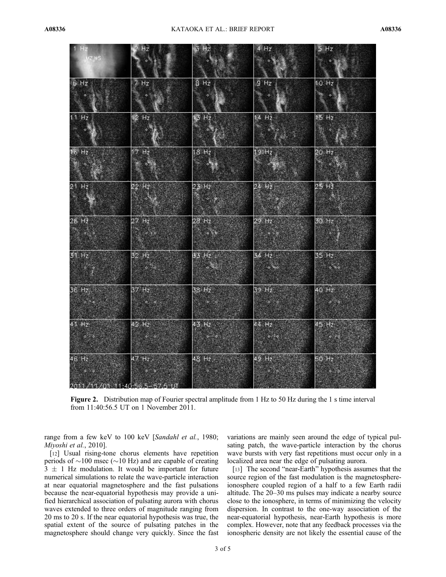| 1 Hz                          | Hz                          | 3 Hz                                          | $4$ Hz                                        | 5 Hz                              |
|-------------------------------|-----------------------------|-----------------------------------------------|-----------------------------------------------|-----------------------------------|
| $MZ$ <sub>W5</sub>            |                             |                                               | $\frac{1}{2}$                                 | $\sim$ $\sim$ $\sim$              |
| 6 Hz                          | $7$ Hz                      | $B$ Hz                                        | 9 Hz                                          | 10 Hz                             |
|                               | $\bullet$                   | $\langle \Phi \rangle$                        | $\bullet$                                     | $\mathbf{A}$                      |
| 11 Hz                         | $12$ , Hz                   | 13 H <sub>z</sub>                             | $14$ Hz                                       | 15 Hz                             |
|                               | $\langle \rangle$           |                                               | $\mathbb{R}^n$                                |                                   |
| 16 Hz                         | $17$ Hz                     | $18$ Hz                                       | 19Hz                                          | 20 Hz                             |
| $\left  \cdot \right $        | $\sim$                      |                                               | $\mathcal{R}$                                 | <b>See 28</b>                     |
| $21$ Hz                       | 22 Hz                       | 23 Hz                                         | 24 Hz                                         | 25 H <sup>2</sup>                 |
| $\mathbb{R}^n$                | <b>Service</b>              | $\mathcal{R}_{\mathcal{A}}$ , $\phi$ , $\phi$ | $\mathbb{R}$ . $\mathbb{R}$                   | $\sim$ $\sim$                     |
| 26 H <sub>2</sub>             | 27 H <sub>z</sub>           | $28$ Hz                                       | $29$ Hz                                       | 30 Hz                             |
| $\sim$ $\sim$                 | $\alpha \rightarrow \infty$ | $\mathbb{Z} \triangleq \mathbb{Z}$            | $\begin{array}{c} \circ \\ \circ \end{array}$ |                                   |
| 31 H <sub>z</sub>             | $32$ Hz                     | 33 Hz                                         | 34 Hz                                         | 35 Hz                             |
|                               | $\sim$ $\sim$ $\sim$        | <b>Moore</b>                                  | $\sim$ $\sim$                                 | $\phi = \phi$                     |
| 36 Hz.<br>$\sim 0.16$         | $37$ Hz                     | 38 Hz                                         | 39 Hz.<br>$-12$                               | 40 Hz<br>$\phi^{\prime}$ . $\phi$ |
|                               | $\sim$ $\sim$               | $\diamond$ $\diamond$                         |                                               |                                   |
| 41 H <sub>2</sub>             | $42$ Hz                     | 43 Hz                                         | $44$ Hz                                       | 45 Hz                             |
|                               |                             | $\ddot{\phi} = \dot{\phi}$                    | $\ddot{\phi}$ , $\ddot{\phi}$                 | $\bullet$                         |
| $46$ Hz                       | 47 H <sub>z</sub>           | 48 Hz.                                        | 49 Hz                                         | 50 Hz                             |
| 4.600                         | $4 - 9 - 9$                 | $\ddot{\phi}$ . $\ddot{\phi}$                 | $\sim$                                        | $\circ$ $\circ$                   |
| 2011/11/01 11:40:56 5-57.5 UT |                             |                                               |                                               |                                   |

Figure 2. Distribution map of Fourier spectral amplitude from 1 Hz to 50 Hz during the 1 s time interval from 11:40:56.5 UT on 1 November 2011.

range from a few keV to 100 keV [Sandahl et al., 1980; Miyoshi et al., 2010].

[12] Usual rising-tone chorus elements have repetition periods of  $\sim$ 100 msec ( $\sim$ 10 Hz) and are capable of creating  $3 \pm 1$  Hz modulation. It would be important for future numerical simulations to relate the wave-particle interaction at near equatorial magnetosphere and the fast pulsations because the near-equatorial hypothesis may provide a unified hierarchical association of pulsating aurora with chorus waves extended to three orders of magnitude ranging from 20 ms to 20 s. If the near equatorial hypothesis was true, the spatial extent of the source of pulsating patches in the magnetosphere should change very quickly. Since the fast variations are mainly seen around the edge of typical pulsating patch, the wave-particle interaction by the chorus wave bursts with very fast repetitions must occur only in a localized area near the edge of pulsating aurora.

[13] The second "near-Earth" hypothesis assumes that the source region of the fast modulation is the magnetosphereionosphere coupled region of a half to a few Earth radii altitude. The 20–30 ms pulses may indicate a nearby source close to the ionosphere, in terms of minimizing the velocity dispersion. In contrast to the one-way association of the near-equatorial hypothesis, near-Earth hypothesis is more complex. However, note that any feedback processes via the ionospheric density are not likely the essential cause of the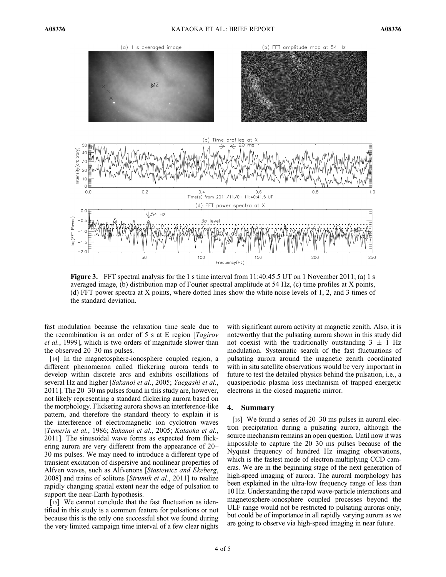

**Figure 3.** FFT spectral analysis for the 1 s time interval from  $11:40:45.5$  UT on 1 November 2011; (a) 1 s averaged image, (b) distribution map of Fourier spectral amplitude at 54 Hz, (c) time profiles at X points, (d) FFT power spectra at X points, where dotted lines show the white noise levels of 1, 2, and 3 times of the standard deviation.

fast modulation because the relaxation time scale due to the recombination is an order of 5 s at E region  $\int Tagirov$ et al., 1999], which is two orders of magnitude slower than the observed 20–30 ms pulses.

[14] In the magnetosphere-ionosphere coupled region, a different phenomenon called flickering aurora tends to develop within discrete arcs and exhibits oscillations of several Hz and higher [Sakanoi et al., 2005; Yaegashi et al., 2011]. The 20–30 ms pulses found in this study are, however, not likely representing a standard flickering aurora based on the morphology. Flickering aurora shows an interference-like pattern, and therefore the standard theory to explain it is the interference of electromagnetic ion cyclotron waves [Temerin et al., 1986; Sakanoi et al., 2005; Kataoka et al., 2011]. The sinusoidal wave forms as expected from flickering aurora are very different from the appearance of 20– 30 ms pulses. We may need to introduce a different type of transient excitation of dispersive and nonlinear properties of Alfven waves, such as Alfvenons [Stasiewicz and Ekeberg, 2008] and trains of solitons [Strumik et al., 2011] to realize rapidly changing spatial extent near the edge of pulsation to support the near-Earth hypothesis.

[15] We cannot conclude that the fast fluctuation as identified in this study is a common feature for pulsations or not because this is the only one successful shot we found during the very limited campaign time interval of a few clear nights

with significant aurora activity at magnetic zenith. Also, it is noteworthy that the pulsating aurora shown in this study did not coexist with the traditionally outstanding  $3 \pm 1$  Hz modulation. Systematic search of the fast fluctuations of pulsating aurora around the magnetic zenith coordinated with in situ satellite observations would be very important in future to test the detailed physics behind the pulsation, i.e., a quasiperiodic plasma loss mechanism of trapped energetic electrons in the closed magnetic mirror.

## 4. Summary

[16] We found a series of 20–30 ms pulses in auroral electron precipitation during a pulsating aurora, although the source mechanism remains an open question. Until now it was impossible to capture the 20–30 ms pulses because of the Nyquist frequency of hundred Hz imaging observations, which is the fastest mode of electron-multiplying CCD cameras. We are in the beginning stage of the next generation of high-speed imaging of aurora. The auroral morphology has been explained in the ultra-low frequency range of less than 10 Hz. Understanding the rapid wave-particle interactions and magnetosphere-ionosphere coupled processes beyond the ULF range would not be restricted to pulsating auroras only, but could be of importance in all rapidly varying aurora as we are going to observe via high-speed imaging in near future.